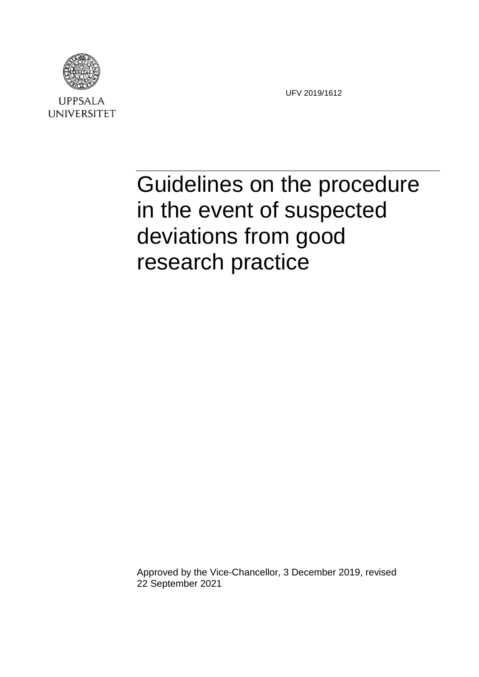

**UNIVERSITET** 

UFV 2019/1612

# Guidelines on the procedure in the event of suspected deviations from good research practice

Approved by the Vice-Chancellor, 3 December 2019, revised 22 September 2021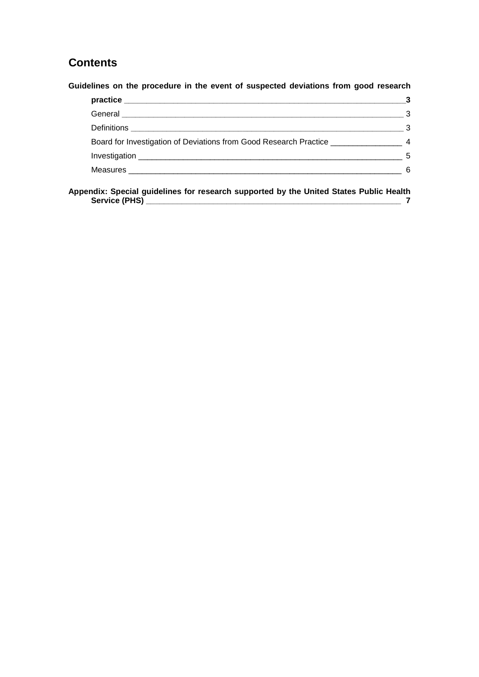## **Contents**

**Guidelines on the procedure in the event of suspected deviations from good research** 

|                                                                                 | З            |
|---------------------------------------------------------------------------------|--------------|
|                                                                                 | 3            |
|                                                                                 | $\mathbf{3}$ |
| Board for Investigation of Deviations from Good Research Practice _____________ |              |
|                                                                                 | 5            |
|                                                                                 | 6            |
|                                                                                 |              |

**Appendix: Special guidelines for research supported by the United States Public Health Service (PHS) \_\_\_\_\_\_\_\_\_\_\_\_\_\_\_\_\_\_\_\_\_\_\_\_\_\_\_\_\_\_\_\_\_\_\_\_\_\_\_\_\_\_\_\_\_\_\_\_\_\_\_\_\_\_\_\_\_ 7**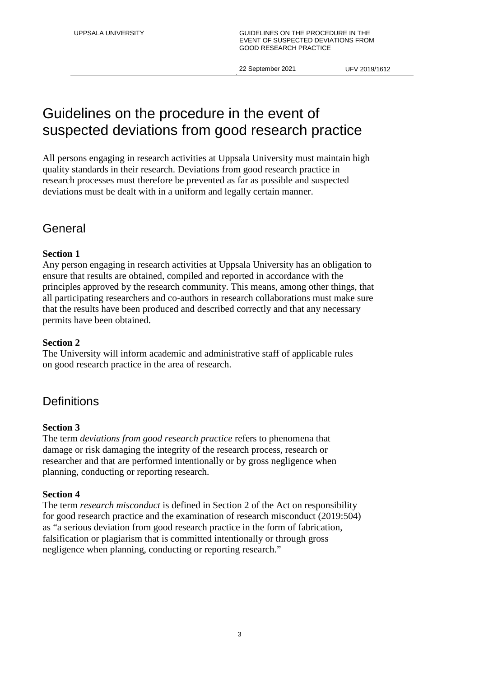## Guidelines on the procedure in the event of suspected deviations from good research practice

All persons engaging in research activities at Uppsala University must maintain high quality standards in their research. Deviations from good research practice in research processes must therefore be prevented as far as possible and suspected deviations must be dealt with in a uniform and legally certain manner.

## General

## **Section 1**

Any person engaging in research activities at Uppsala University has an obligation to ensure that results are obtained, compiled and reported in accordance with the principles approved by the research community. This means, among other things, that all participating researchers and co-authors in research collaborations must make sure that the results have been produced and described correctly and that any necessary permits have been obtained.

### **Section 2**

The University will inform academic and administrative staff of applicable rules on good research practice in the area of research.

## **Definitions**

### **Section 3**

The term *deviations from good research practice* refers to phenomena that damage or risk damaging the integrity of the research process, research or researcher and that are performed intentionally or by gross negligence when planning, conducting or reporting research.

### **Section 4**

The term *research misconduct* is defined in Section 2 of the Act on responsibility for good research practice and the examination of research misconduct (2019:504) as "a serious deviation from good research practice in the form of fabrication, falsification or plagiarism that is committed intentionally or through gross negligence when planning, conducting or reporting research."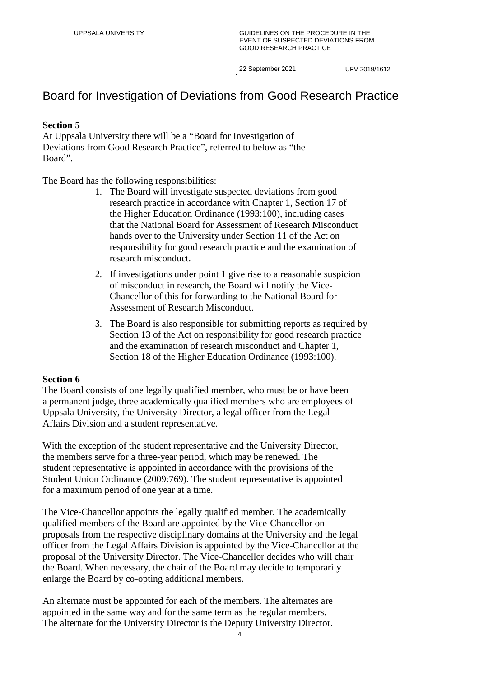## Board for Investigation of Deviations from Good Research Practice

## **Section 5**

At Uppsala University there will be a "Board for Investigation of Deviations from Good Research Practice", referred to below as "the Board".

The Board has the following responsibilities:

- 1. The Board will investigate suspected deviations from good research practice in accordance with Chapter 1, Section 17 of the Higher Education Ordinance (1993:100), including cases that the National Board for Assessment of Research Misconduct hands over to the University under Section 11 of the Act on responsibility for good research practice and the examination of research misconduct.
- 2. If investigations under point 1 give rise to a reasonable suspicion of misconduct in research, the Board will notify the Vice-Chancellor of this for forwarding to the National Board for Assessment of Research Misconduct.
- 3. The Board is also responsible for submitting reports as required by Section 13 of the Act on responsibility for good research practice and the examination of research misconduct and Chapter 1, Section 18 of the Higher Education Ordinance (1993:100).

### **Section 6**

The Board consists of one legally qualified member, who must be or have been a permanent judge, three academically qualified members who are employees of Uppsala University, the University Director, a legal officer from the Legal Affairs Division and a student representative.

With the exception of the student representative and the University Director, the members serve for a three-year period, which may be renewed. The student representative is appointed in accordance with the provisions of the Student Union Ordinance (2009:769). The student representative is appointed for a maximum period of one year at a time.

The Vice-Chancellor appoints the legally qualified member. The academically qualified members of the Board are appointed by the Vice-Chancellor on proposals from the respective disciplinary domains at the University and the legal officer from the Legal Affairs Division is appointed by the Vice-Chancellor at the proposal of the University Director. The Vice-Chancellor decides who will chair the Board. When necessary, the chair of the Board may decide to temporarily enlarge the Board by co-opting additional members.

An alternate must be appointed for each of the members. The alternates are appointed in the same way and for the same term as the regular members. The alternate for the University Director is the Deputy University Director.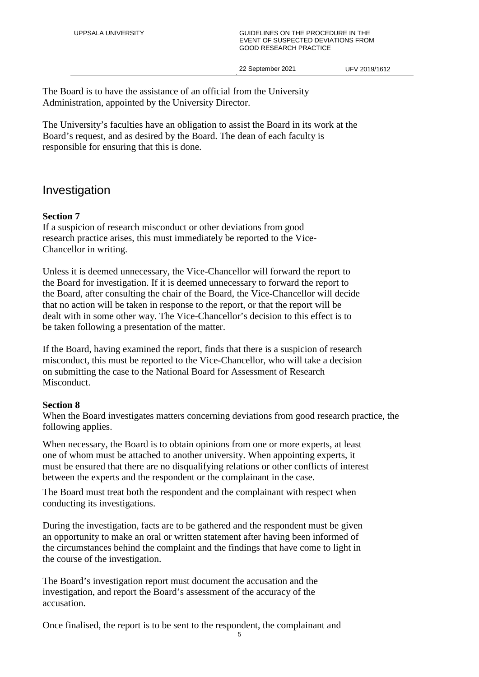#### UPPSALA UNIVERSITY GUIDELINES ON THE PROCEDURE IN THE EVENT OF SUSPECTED DEVIATIONS FROM GOOD RESEARCH PRACTICE

22 September 2021 UFV 2019/1612

The Board is to have the assistance of an official from the University Administration, appointed by the University Director.

The University's faculties have an obligation to assist the Board in its work at the Board's request, and as desired by the Board. The dean of each faculty is responsible for ensuring that this is done.

## Investigation

## **Section 7**

If a suspicion of research misconduct or other deviations from good research practice arises, this must immediately be reported to the Vice-Chancellor in writing.

Unless it is deemed unnecessary, the Vice-Chancellor will forward the report to the Board for investigation. If it is deemed unnecessary to forward the report to the Board, after consulting the chair of the Board, the Vice-Chancellor will decide that no action will be taken in response to the report, or that the report will be dealt with in some other way. The Vice-Chancellor's decision to this effect is to be taken following a presentation of the matter.

If the Board, having examined the report, finds that there is a suspicion of research misconduct, this must be reported to the Vice-Chancellor, who will take a decision on submitting the case to the National Board for Assessment of Research Misconduct.

## **Section 8**

When the Board investigates matters concerning deviations from good research practice, the following applies.

When necessary, the Board is to obtain opinions from one or more experts, at least one of whom must be attached to another university. When appointing experts, it must be ensured that there are no disqualifying relations or other conflicts of interest between the experts and the respondent or the complainant in the case.

The Board must treat both the respondent and the complainant with respect when conducting its investigations.

During the investigation, facts are to be gathered and the respondent must be given an opportunity to make an oral or written statement after having been informed of the circumstances behind the complaint and the findings that have come to light in the course of the investigation.

The Board's investigation report must document the accusation and the investigation, and report the Board's assessment of the accuracy of the accusation.

Once finalised, the report is to be sent to the respondent, the complainant and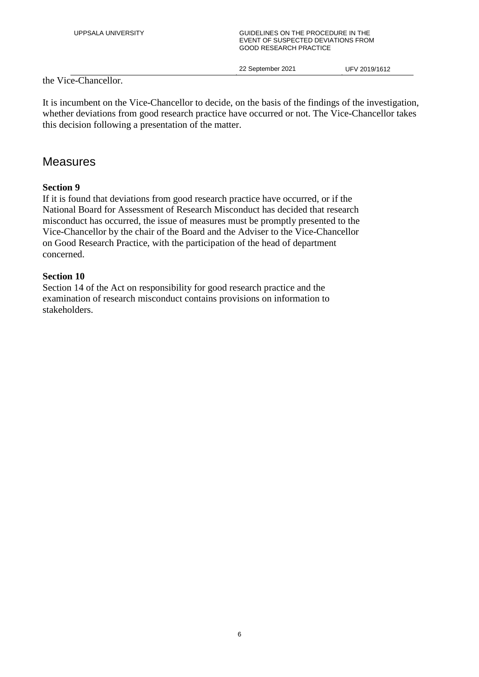#### UPPSALA UNIVERSITY **EXAMPLE A CONSIDELINES ON THE PROCEDURE IN THE** EVENT OF SUSPECTED DEVIATIONS FROM GOOD RESEARCH PRACTICE

22 September 2021 UFV 2019/1612

the Vice-Chancellor.

It is incumbent on the Vice-Chancellor to decide, on the basis of the findings of the investigation, whether deviations from good research practice have occurred or not. The Vice-Chancellor takes this decision following a presentation of the matter.

## Measures

## **Section 9**

If it is found that deviations from good research practice have occurred, or if the National Board for Assessment of Research Misconduct has decided that research misconduct has occurred, the issue of measures must be promptly presented to the Vice-Chancellor by the chair of the Board and the Adviser to the Vice-Chancellor on Good Research Practice, with the participation of the head of department concerned.

## **Section 10**

Section 14 of the Act on responsibility for good research practice and the examination of research misconduct contains provisions on information to stakeholders.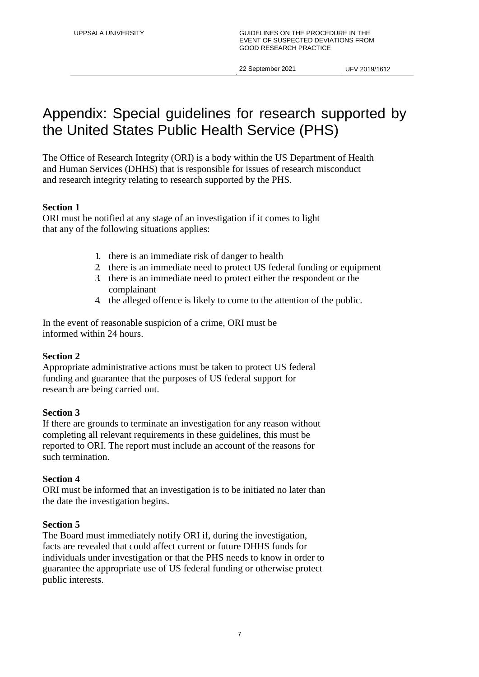## Appendix: Special guidelines for research supported by the United States Public Health Service (PHS)

The Office of Research Integrity (ORI) is a body within the US Department of Health and Human Services (DHHS) that is responsible for issues of research misconduct and research integrity relating to research supported by the PHS.

## **Section 1**

ORI must be notified at any stage of an investigation if it comes to light that any of the following situations applies:

- 1. there is an immediate risk of danger to health
- 2. there is an immediate need to protect US federal funding or equipment
- 3. there is an immediate need to protect either the respondent or the complainant
- 4. the alleged offence is likely to come to the attention of the public.

In the event of reasonable suspicion of a crime, ORI must be informed within 24 hours.

### **Section 2**

Appropriate administrative actions must be taken to protect US federal funding and guarantee that the purposes of US federal support for research are being carried out.

### **Section 3**

If there are grounds to terminate an investigation for any reason without completing all relevant requirements in these guidelines, this must be reported to ORI. The report must include an account of the reasons for such termination.

## **Section 4**

ORI must be informed that an investigation is to be initiated no later than the date the investigation begins.

### **Section 5**

The Board must immediately notify ORI if, during the investigation, facts are revealed that could affect current or future DHHS funds for individuals under investigation or that the PHS needs to know in order to guarantee the appropriate use of US federal funding or otherwise protect public interests.